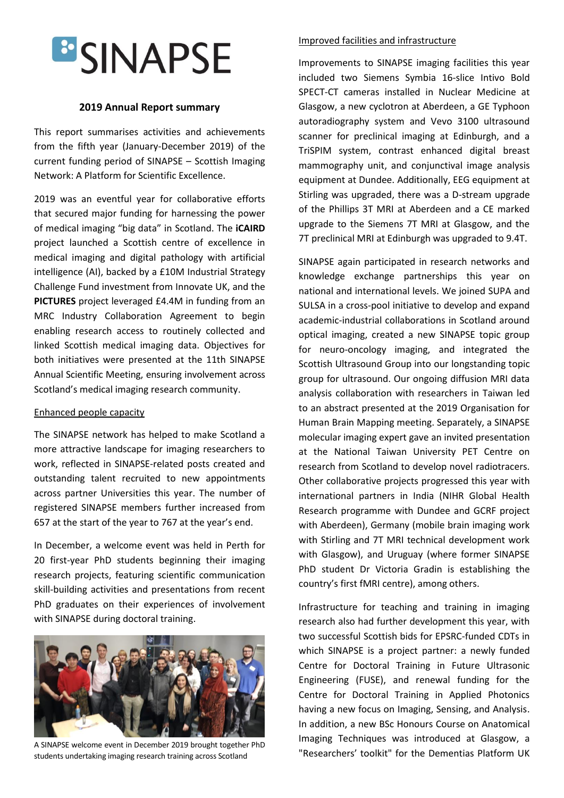

# **2019 Annual Report summary**

This report summarises activities and achievements from the fifth year (January-December 2019) of the current funding period of SINAPSE – Scottish Imaging Network: A Platform for Scientific Excellence.

2019 was an eventful year for collaborative efforts that secured major funding for harnessing the power of medical imaging "big data" in Scotland. The **iCAIRD** project launched a Scottish centre of excellence in medical imaging and digital pathology with artificial intelligence (AI), backed by a £10M Industrial Strategy Challenge Fund investment from Innovate UK, and the **PICTURES** project leveraged £4.4M in funding from an MRC Industry Collaboration Agreement to begin enabling research access to routinely collected and linked Scottish medical imaging data. Objectives for both initiatives were presented at the 11th SINAPSE Annual Scientific Meeting, ensuring involvement across Scotland's medical imaging research community.

## Enhanced people capacity

The SINAPSE network has helped to make Scotland a more attractive landscape for imaging researchers to work, reflected in SINAPSE-related posts created and outstanding talent recruited to new appointments across partner Universities this year. The number of registered SINAPSE members further increased from 657 at the start of the year to 767 at the year's end.

In December, a welcome event was held in Perth for 20 first-year PhD students beginning their imaging research projects, featuring scientific communication skill-building activities and presentations from recent PhD graduates on their experiences of involvement with SINAPSE during doctoral training.



A SINAPSE welcome event in December 2019 brought together PhD students undertaking imaging research training across Scotland

#### Improved facilities and infrastructure

Improvements to SINAPSE imaging facilities this year included two Siemens Symbia 16-slice Intivo Bold SPECT-CT cameras installed in Nuclear Medicine at Glasgow, a new cyclotron at Aberdeen, a GE Typhoon autoradiography system and Vevo 3100 ultrasound scanner for preclinical imaging at Edinburgh, and a TriSPIM system, contrast enhanced digital breast mammography unit, and conjunctival image analysis equipment at Dundee. Additionally, EEG equipment at Stirling was upgraded, there was a D-stream upgrade of the Phillips 3T MRI at Aberdeen and a CE marked upgrade to the Siemens 7T MRI at Glasgow, and the 7T preclinical MRI at Edinburgh was upgraded to 9.4T.

SINAPSE again participated in research networks and knowledge exchange partnerships this year on national and international levels. We joined SUPA and SULSA in a cross-pool initiative to develop and expand academic-industrial collaborations in Scotland around optical imaging, created a new SINAPSE topic group for neuro-oncology imaging, and integrated the Scottish Ultrasound Group into our longstanding topic group for ultrasound. Our ongoing diffusion MRI data analysis collaboration with researchers in Taiwan led to an abstract presented at the 2019 Organisation for Human Brain Mapping meeting. Separately, a SINAPSE molecular imaging expert gave an invited presentation at the National Taiwan University PET Centre on research from Scotland to develop novel radiotracers. Other collaborative projects progressed this year with international partners in India (NIHR Global Health Research programme with Dundee and GCRF project with Aberdeen), Germany (mobile brain imaging work with Stirling and 7T MRI technical development work with Glasgow), and Uruguay (where former SINAPSE PhD student Dr Victoria Gradin is establishing the country's first fMRI centre), among others.

Infrastructure for teaching and training in imaging research also had further development this year, with two successful Scottish bids for EPSRC-funded CDTs in which SINAPSE is a project partner: a newly funded Centre for Doctoral Training in Future Ultrasonic Engineering (FUSE), and renewal funding for the Centre for Doctoral Training in Applied Photonics having a new focus on Imaging, Sensing, and Analysis. In addition, a new BSc Honours Course on Anatomical Imaging Techniques was introduced at Glasgow, a "Researchers' toolkit" for the Dementias Platform UK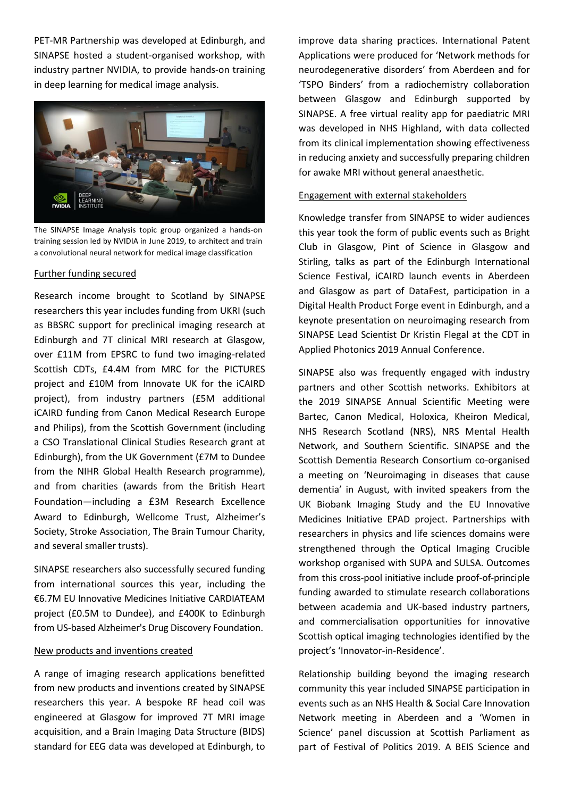PET-MR Partnership was developed at Edinburgh, and SINAPSE hosted a student-organised workshop, with industry partner NVIDIA, to provide hands-on training in deep learning for medical image analysis.



The SINAPSE Image Analysis topic group organized a hands-on training session led by NVIDIA in June 2019, to architect and train a convolutional neural network for medical image classification

## Further funding secured

Research income brought to Scotland by SINAPSE researchers this year includes funding from UKRI (such as BBSRC support for preclinical imaging research at Edinburgh and 7T clinical MRI research at Glasgow, over £11M from EPSRC to fund two imaging-related Scottish CDTs, £4.4M from MRC for the PICTURES project and £10M from Innovate UK for the iCAIRD project), from industry partners (£5M additional iCAIRD funding from Canon Medical Research Europe and Philips), from the Scottish Government (including a CSO Translational Clinical Studies Research grant at Edinburgh), from the UK Government (£7M to Dundee from the NIHR Global Health Research programme), and from charities (awards from the British Heart Foundation—including a £3M Research Excellence Award to Edinburgh, Wellcome Trust, Alzheimer's Society, Stroke Association, The Brain Tumour Charity, and several smaller trusts).

SINAPSE researchers also successfully secured funding from international sources this year, including the €6.7M EU Innovative Medicines Initiative CARDIATEAM project (£0.5M to Dundee), and £400K to Edinburgh from US-based Alzheimer's Drug Discovery Foundation.

## New products and inventions created

A range of imaging research applications benefitted from new products and inventions created by SINAPSE researchers this year. A bespoke RF head coil was engineered at Glasgow for improved 7T MRI image acquisition, and a Brain Imaging Data Structure (BIDS) standard for EEG data was developed at Edinburgh, to

improve data sharing practices. International Patent Applications were produced for 'Network methods for neurodegenerative disorders' from Aberdeen and for 'TSPO Binders' from a radiochemistry collaboration between Glasgow and Edinburgh supported by SINAPSE. A free virtual reality app for paediatric MRI was developed in NHS Highland, with data collected from its clinical implementation showing effectiveness in reducing anxiety and successfully preparing children for awake MRI without general anaesthetic.

#### Engagement with external stakeholders

Knowledge transfer from SINAPSE to wider audiences this year took the form of public events such as Bright Club in Glasgow, Pint of Science in Glasgow and Stirling, talks as part of the Edinburgh International Science Festival, iCAIRD launch events in Aberdeen and Glasgow as part of DataFest, participation in a Digital Health Product Forge event in Edinburgh, and a keynote presentation on neuroimaging research from SINAPSE Lead Scientist Dr Kristin Flegal at the CDT in Applied Photonics 2019 Annual Conference.

SINAPSE also was frequently engaged with industry partners and other Scottish networks. Exhibitors at the 2019 SINAPSE Annual Scientific Meeting were Bartec, Canon Medical, Holoxica, Kheiron Medical, NHS Research Scotland (NRS), NRS Mental Health Network, and Southern Scientific. SINAPSE and the Scottish Dementia Research Consortium co-organised a meeting on 'Neuroimaging in diseases that cause dementia' in August, with invited speakers from the UK Biobank Imaging Study and the EU Innovative Medicines Initiative EPAD project. Partnerships with researchers in physics and life sciences domains were strengthened through the Optical Imaging Crucible workshop organised with SUPA and SULSA. Outcomes from this cross-pool initiative include proof-of-principle funding awarded to stimulate research collaborations between academia and UK-based industry partners, and commercialisation opportunities for innovative Scottish optical imaging technologies identified by the project's 'Innovator-in-Residence'.

Relationship building beyond the imaging research community this year included SINAPSE participation in events such as an NHS Health & Social Care Innovation Network meeting in Aberdeen and a 'Women in Science' panel discussion at Scottish Parliament as part of Festival of Politics 2019. A BEIS Science and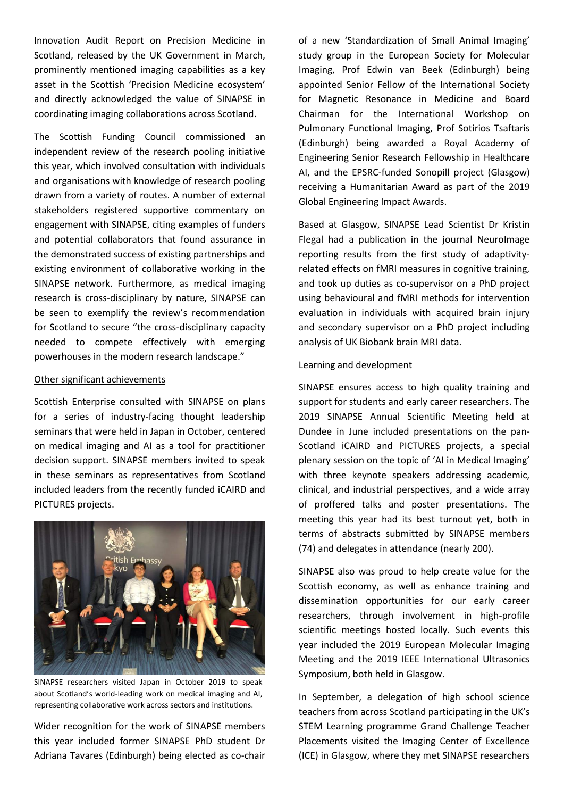Innovation Audit Report on Precision Medicine in Scotland, released by the UK Government in March, prominently mentioned imaging capabilities as a key asset in the Scottish 'Precision Medicine ecosystem' and directly acknowledged the value of SINAPSE in coordinating imaging collaborations across Scotland.

The Scottish Funding Council commissioned an independent review of the research pooling initiative this year, which involved consultation with individuals and organisations with knowledge of research pooling drawn from a variety of routes. A number of external stakeholders registered supportive commentary on engagement with SINAPSE, citing examples of funders and potential collaborators that found assurance in the demonstrated success of existing partnerships and existing environment of collaborative working in the SINAPSE network. Furthermore, as medical imaging research is cross-disciplinary by nature, SINAPSE can be seen to exemplify the review's recommendation for Scotland to secure "the cross-disciplinary capacity needed to compete effectively with emerging powerhouses in the modern research landscape."

## Other significant achievements

Scottish Enterprise consulted with SINAPSE on plans for a series of industry-facing thought leadership seminars that were held in Japan in October, centered on medical imaging and AI as a tool for practitioner decision support. SINAPSE members invited to speak in these seminars as representatives from Scotland included leaders from the recently funded iCAIRD and PICTURES projects.



SINAPSE researchers visited Japan in October 2019 to speak about Scotland's world-leading work on medical imaging and AI, representing collaborative work across sectors and institutions.

Wider recognition for the work of SINAPSE members this year included former SINAPSE PhD student Dr Adriana Tavares (Edinburgh) being elected as co-chair of a new 'Standardization of Small Animal Imaging' study group in the European Society for Molecular Imaging, Prof Edwin van Beek (Edinburgh) being appointed Senior Fellow of the International Society for Magnetic Resonance in Medicine and Board Chairman for the International Workshop on Pulmonary Functional Imaging, Prof Sotirios Tsaftaris (Edinburgh) being awarded a Royal Academy of Engineering Senior Research Fellowship in Healthcare AI, and the EPSRC-funded Sonopill project (Glasgow) receiving a Humanitarian Award as part of the 2019 Global Engineering Impact Awards.

Based at Glasgow, SINAPSE Lead Scientist Dr Kristin Flegal had a publication in the journal NeuroImage reporting results from the first study of adaptivityrelated effects on fMRI measures in cognitive training, and took up duties as co-supervisor on a PhD project using behavioural and fMRI methods for intervention evaluation in individuals with acquired brain injury and secondary supervisor on a PhD project including analysis of UK Biobank brain MRI data.

## Learning and development

SINAPSE ensures access to high quality training and support for students and early career researchers. The 2019 SINAPSE Annual Scientific Meeting held at Dundee in June included presentations on the pan-Scotland iCAIRD and PICTURES projects, a special plenary session on the topic of 'AI in Medical Imaging' with three keynote speakers addressing academic, clinical, and industrial perspectives, and a wide array of proffered talks and poster presentations. The meeting this year had its best turnout yet, both in terms of abstracts submitted by SINAPSE members (74) and delegates in attendance (nearly 200).

SINAPSE also was proud to help create value for the Scottish economy, as well as enhance training and dissemination opportunities for our early career researchers, through involvement in high-profile scientific meetings hosted locally. Such events this year included the 2019 European Molecular Imaging Meeting and the 2019 IEEE International Ultrasonics Symposium, both held in Glasgow.

In September, a delegation of high school science teachers from across Scotland participating in the UK's STEM Learning programme Grand Challenge Teacher Placements visited the Imaging Center of Excellence (ICE) in Glasgow, where they met SINAPSE researchers